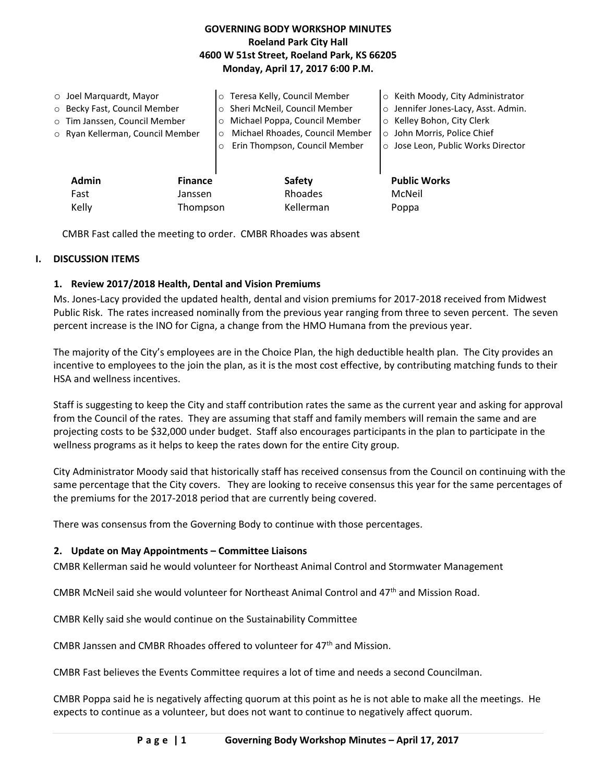## **GOVERNING BODY WORKSHOP MINUTES Roeland Park City Hall 4600 W 51st Street, Roeland Park, KS 66205 Monday, April 17, 2017 6:00 P.M.**

| $\circ$ Joel Marquardt, Mayor<br>o Becky Fast, Council Member<br>o Tim Janssen, Council Member<br>o Ryan Kellerman, Council Member |                | o Teresa Kelly, Council Member<br>Sheri McNeil, Council Member<br>Michael Poppa, Council Member<br>$\Omega$<br>Michael Rhoades, Council Member<br>Erin Thompson, Council Member | ○ Keith Moody, City Administrator<br>o Jennifer Jones-Lacy, Asst. Admin.<br>o Kelley Bohon, City Clerk<br>o John Morris, Police Chief<br>○ Jose Leon, Public Works Director |
|------------------------------------------------------------------------------------------------------------------------------------|----------------|---------------------------------------------------------------------------------------------------------------------------------------------------------------------------------|-----------------------------------------------------------------------------------------------------------------------------------------------------------------------------|
| <b>Admin</b>                                                                                                                       | <b>Finance</b> | Safety                                                                                                                                                                          | <b>Public Works</b>                                                                                                                                                         |
| Fast                                                                                                                               | Janssen        | Rhoades                                                                                                                                                                         | McNeil                                                                                                                                                                      |
| Kelly                                                                                                                              | Thompson       | Kellerman                                                                                                                                                                       | Poppa                                                                                                                                                                       |

CMBR Fast called the meeting to order. CMBR Rhoades was absent

#### **I. DISCUSSION ITEMS**

### **1. Review 2017/2018 Health, Dental and Vision Premiums**

Ms. Jones-Lacy provided the updated health, dental and vision premiums for 2017-2018 received from Midwest Public Risk. The rates increased nominally from the previous year ranging from three to seven percent. The seven percent increase is the INO for Cigna, a change from the HMO Humana from the previous year.

The majority of the City's employees are in the Choice Plan, the high deductible health plan. The City provides an incentive to employees to the join the plan, as it is the most cost effective, by contributing matching funds to their HSA and wellness incentives.

Staff is suggesting to keep the City and staff contribution rates the same as the current year and asking for approval from the Council of the rates. They are assuming that staff and family members will remain the same and are projecting costs to be \$32,000 under budget. Staff also encourages participants in the plan to participate in the wellness programs as it helps to keep the rates down for the entire City group.

City Administrator Moody said that historically staff has received consensus from the Council on continuing with the same percentage that the City covers. They are looking to receive consensus this year for the same percentages of the premiums for the 2017-2018 period that are currently being covered.

There was consensus from the Governing Body to continue with those percentages.

#### **2. Update on May Appointments – Committee Liaisons**

CMBR Kellerman said he would volunteer for Northeast Animal Control and Stormwater Management

CMBR McNeil said she would volunteer for Northeast Animal Control and 47th and Mission Road.

CMBR Kelly said she would continue on the Sustainability Committee

CMBR Janssen and CMBR Rhoades offered to volunteer for 47<sup>th</sup> and Mission.

CMBR Fast believes the Events Committee requires a lot of time and needs a second Councilman.

CMBR Poppa said he is negatively affecting quorum at this point as he is not able to make all the meetings. He expects to continue as a volunteer, but does not want to continue to negatively affect quorum.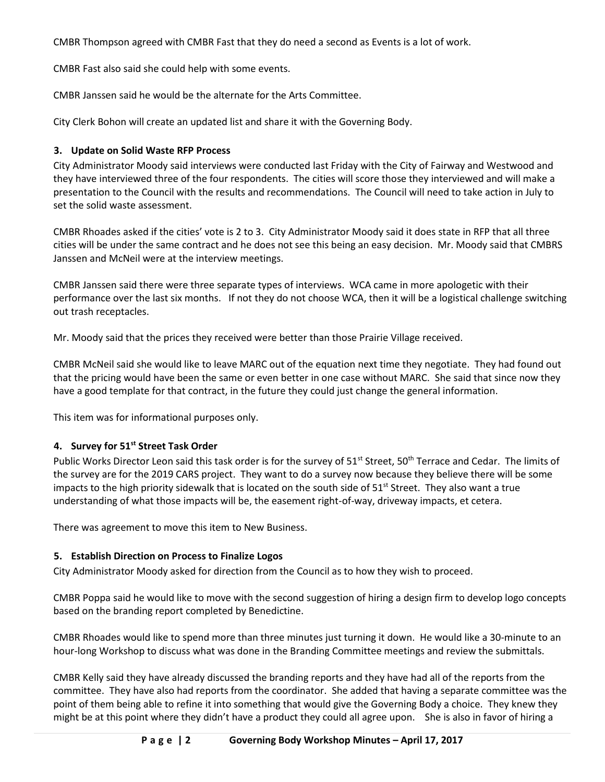CMBR Thompson agreed with CMBR Fast that they do need a second as Events is a lot of work.

CMBR Fast also said she could help with some events.

CMBR Janssen said he would be the alternate for the Arts Committee.

City Clerk Bohon will create an updated list and share it with the Governing Body.

## **3. Update on Solid Waste RFP Process**

City Administrator Moody said interviews were conducted last Friday with the City of Fairway and Westwood and they have interviewed three of the four respondents. The cities will score those they interviewed and will make a presentation to the Council with the results and recommendations. The Council will need to take action in July to set the solid waste assessment.

CMBR Rhoades asked if the cities' vote is 2 to 3. City Administrator Moody said it does state in RFP that all three cities will be under the same contract and he does not see this being an easy decision. Mr. Moody said that CMBRS Janssen and McNeil were at the interview meetings.

CMBR Janssen said there were three separate types of interviews. WCA came in more apologetic with their performance over the last six months. If not they do not choose WCA, then it will be a logistical challenge switching out trash receptacles.

Mr. Moody said that the prices they received were better than those Prairie Village received.

CMBR McNeil said she would like to leave MARC out of the equation next time they negotiate. They had found out that the pricing would have been the same or even better in one case without MARC. She said that since now they have a good template for that contract, in the future they could just change the general information.

This item was for informational purposes only.

# **4. Survey for 51st Street Task Order**

Public Works Director Leon said this task order is for the survey of 51<sup>st</sup> Street, 50<sup>th</sup> Terrace and Cedar. The limits of the survey are for the 2019 CARS project. They want to do a survey now because they believe there will be some impacts to the high priority sidewalk that is located on the south side of  $51<sup>st</sup>$  Street. They also want a true understanding of what those impacts will be, the easement right-of-way, driveway impacts, et cetera.

There was agreement to move this item to New Business.

# **5. Establish Direction on Process to Finalize Logos**

City Administrator Moody asked for direction from the Council as to how they wish to proceed.

CMBR Poppa said he would like to move with the second suggestion of hiring a design firm to develop logo concepts based on the branding report completed by Benedictine.

CMBR Rhoades would like to spend more than three minutes just turning it down. He would like a 30-minute to an hour-long Workshop to discuss what was done in the Branding Committee meetings and review the submittals.

CMBR Kelly said they have already discussed the branding reports and they have had all of the reports from the committee. They have also had reports from the coordinator. She added that having a separate committee was the point of them being able to refine it into something that would give the Governing Body a choice. They knew they might be at this point where they didn't have a product they could all agree upon. She is also in favor of hiring a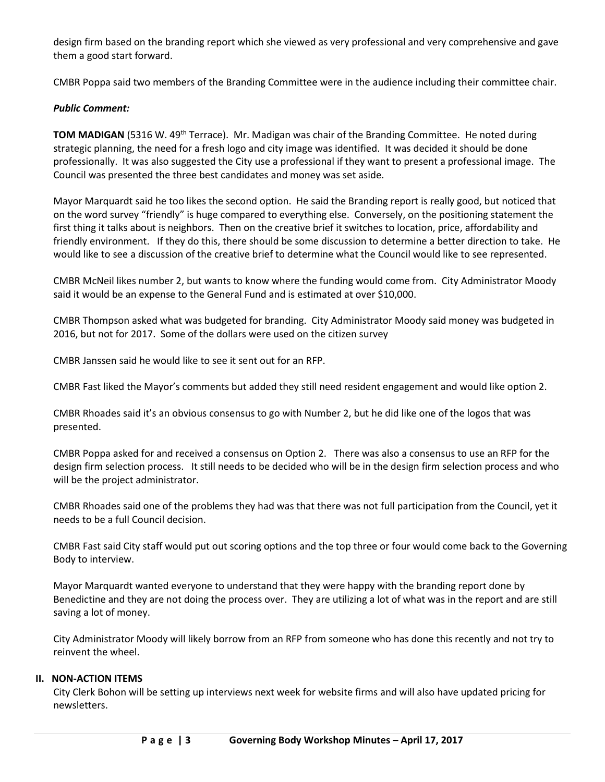design firm based on the branding report which she viewed as very professional and very comprehensive and gave them a good start forward.

CMBR Poppa said two members of the Branding Committee were in the audience including their committee chair.

### *Public Comment:*

**TOM MADIGAN** (5316 W. 49<sup>th</sup> Terrace). Mr. Madigan was chair of the Branding Committee. He noted during strategic planning, the need for a fresh logo and city image was identified. It was decided it should be done professionally. It was also suggested the City use a professional if they want to present a professional image. The Council was presented the three best candidates and money was set aside.

Mayor Marquardt said he too likes the second option. He said the Branding report is really good, but noticed that on the word survey "friendly" is huge compared to everything else. Conversely, on the positioning statement the first thing it talks about is neighbors. Then on the creative brief it switches to location, price, affordability and friendly environment. If they do this, there should be some discussion to determine a better direction to take. He would like to see a discussion of the creative brief to determine what the Council would like to see represented.

CMBR McNeil likes number 2, but wants to know where the funding would come from. City Administrator Moody said it would be an expense to the General Fund and is estimated at over \$10,000.

CMBR Thompson asked what was budgeted for branding. City Administrator Moody said money was budgeted in 2016, but not for 2017. Some of the dollars were used on the citizen survey

CMBR Janssen said he would like to see it sent out for an RFP.

CMBR Fast liked the Mayor's comments but added they still need resident engagement and would like option 2.

CMBR Rhoades said it's an obvious consensus to go with Number 2, but he did like one of the logos that was presented.

CMBR Poppa asked for and received a consensus on Option 2. There was also a consensus to use an RFP for the design firm selection process. It still needs to be decided who will be in the design firm selection process and who will be the project administrator.

CMBR Rhoades said one of the problems they had was that there was not full participation from the Council, yet it needs to be a full Council decision.

CMBR Fast said City staff would put out scoring options and the top three or four would come back to the Governing Body to interview.

Mayor Marquardt wanted everyone to understand that they were happy with the branding report done by Benedictine and they are not doing the process over. They are utilizing a lot of what was in the report and are still saving a lot of money.

City Administrator Moody will likely borrow from an RFP from someone who has done this recently and not try to reinvent the wheel.

### **II. NON-ACTION ITEMS**

City Clerk Bohon will be setting up interviews next week for website firms and will also have updated pricing for newsletters.